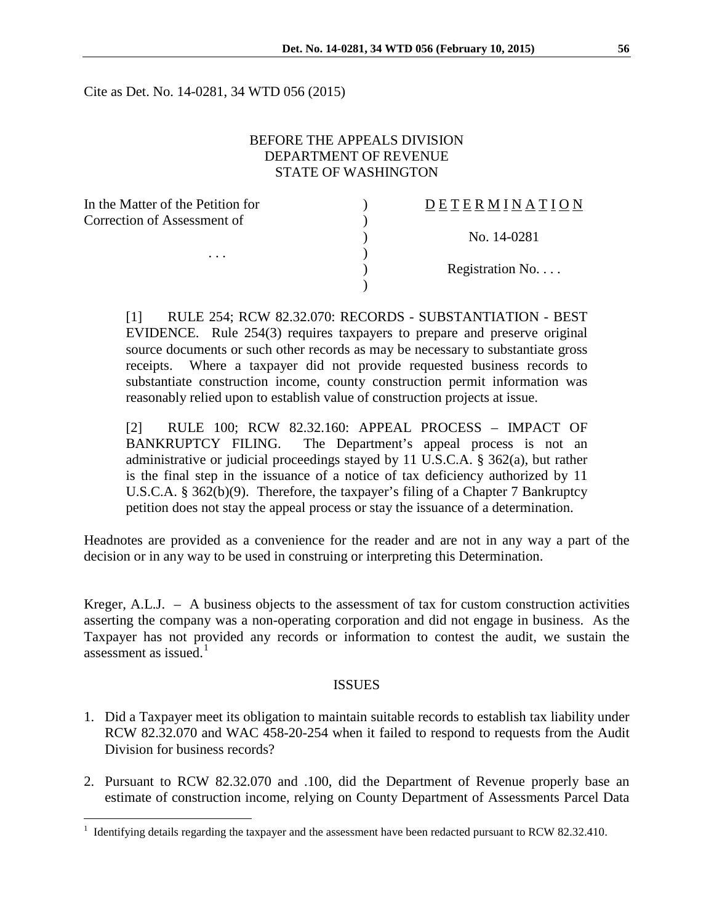Cite as Det. No. 14-0281, 34 WTD 056 (2015)

#### BEFORE THE APPEALS DIVISION DEPARTMENT OF REVENUE STATE OF WASHINGTON

| In the Matter of the Petition for | DETERMINATION   |
|-----------------------------------|-----------------|
| Correction of Assessment of       |                 |
|                                   | No. 14-0281     |
| $\cdots$                          |                 |
|                                   | Registration No |
|                                   |                 |

[1] RULE 254; RCW 82.32.070: RECORDS - SUBSTANTIATION - BEST EVIDENCE. Rule 254(3) requires taxpayers to prepare and preserve original source documents or such other records as may be necessary to substantiate gross receipts. Where a taxpayer did not provide requested business records to substantiate construction income, county construction permit information was reasonably relied upon to establish value of construction projects at issue.

[2] RULE 100; RCW 82.32.160: APPEAL PROCESS – IMPACT OF BANKRUPTCY FILING. The Department's appeal process is not an administrative or judicial proceedings stayed by 11 U.S.C.A. § 362(a), but rather is the final step in the issuance of a notice of tax deficiency authorized by 11 U.S.C.A. § 362(b)(9). Therefore, the taxpayer's filing of a Chapter 7 Bankruptcy petition does not stay the appeal process or stay the issuance of a determination.

Headnotes are provided as a convenience for the reader and are not in any way a part of the decision or in any way to be used in construing or interpreting this Determination.

Kreger, A.L.J. – A business objects to the assessment of tax for custom construction activities asserting the company was a non-operating corporation and did not engage in business. As the Taxpayer has not provided any records or information to contest the audit, we sustain the assessment as issued. $1$ 

#### ISSUES

- 1. Did a Taxpayer meet its obligation to maintain suitable records to establish tax liability under RCW 82.32.070 and WAC 458-20-254 when it failed to respond to requests from the Audit Division for business records?
- 2. Pursuant to RCW 82.32.070 and .100, did the Department of Revenue properly base an estimate of construction income, relying on County Department of Assessments Parcel Data

 $\overline{a}$ 

<span id="page-0-0"></span> $1$  Identifying details regarding the taxpayer and the assessment have been redacted pursuant to RCW 82.32.410.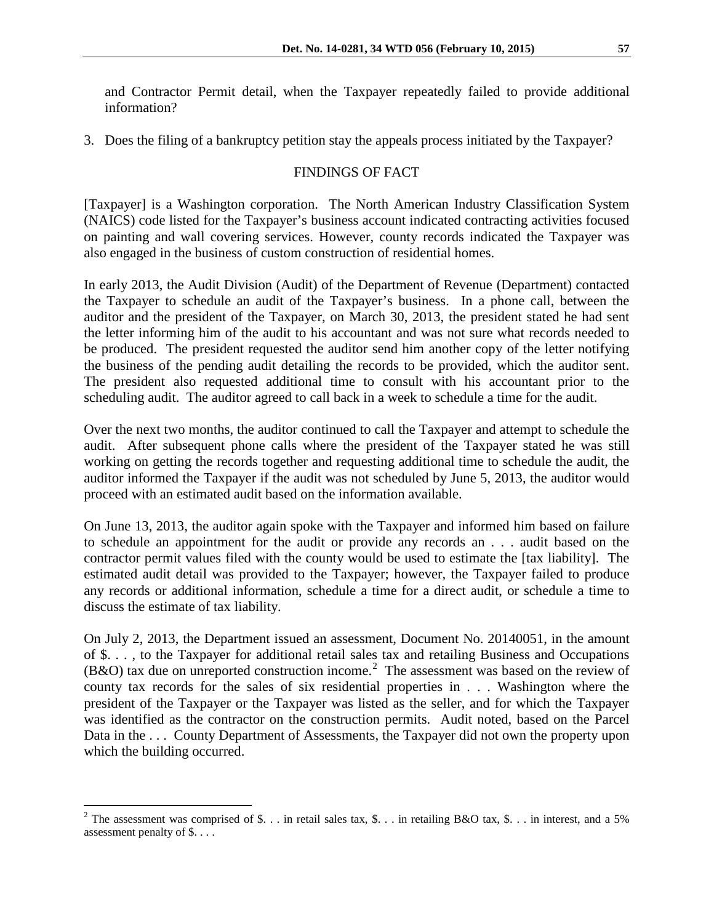and Contractor Permit detail, when the Taxpayer repeatedly failed to provide additional information?

3. Does the filing of a bankruptcy petition stay the appeals process initiated by the Taxpayer?

# FINDINGS OF FACT

[Taxpayer] is a Washington corporation. The North American Industry Classification System (NAICS) code listed for the Taxpayer's business account indicated contracting activities focused on painting and wall covering services. However, county records indicated the Taxpayer was also engaged in the business of custom construction of residential homes.

In early 2013, the Audit Division (Audit) of the Department of Revenue (Department) contacted the Taxpayer to schedule an audit of the Taxpayer's business. In a phone call, between the auditor and the president of the Taxpayer, on March 30, 2013, the president stated he had sent the letter informing him of the audit to his accountant and was not sure what records needed to be produced. The president requested the auditor send him another copy of the letter notifying the business of the pending audit detailing the records to be provided, which the auditor sent. The president also requested additional time to consult with his accountant prior to the scheduling audit. The auditor agreed to call back in a week to schedule a time for the audit.

Over the next two months, the auditor continued to call the Taxpayer and attempt to schedule the audit. After subsequent phone calls where the president of the Taxpayer stated he was still working on getting the records together and requesting additional time to schedule the audit, the auditor informed the Taxpayer if the audit was not scheduled by June 5, 2013, the auditor would proceed with an estimated audit based on the information available.

On June 13, 2013, the auditor again spoke with the Taxpayer and informed him based on failure to schedule an appointment for the audit or provide any records an . . . audit based on the contractor permit values filed with the county would be used to estimate the [tax liability]. The estimated audit detail was provided to the Taxpayer; however, the Taxpayer failed to produce any records or additional information, schedule a time for a direct audit, or schedule a time to discuss the estimate of tax liability.

On July 2, 2013, the Department issued an assessment, Document No. 20140051, in the amount of \$. . . , to the Taxpayer for additional retail sales tax and retailing Business and Occupations  $(B&O)$  tax due on unreported construction income.<sup>[2](#page-1-0)</sup> The assessment was based on the review of county tax records for the sales of six residential properties in . . . Washington where the president of the Taxpayer or the Taxpayer was listed as the seller, and for which the Taxpayer was identified as the contractor on the construction permits. Audit noted, based on the Parcel Data in the ... County Department of Assessments, the Taxpayer did not own the property upon which the building occurred.

<span id="page-1-0"></span><sup>&</sup>lt;sup>2</sup> The assessment was comprised of \$... in retail sales tax, \$... in retailing B&O tax, \$... in interest, and a 5% assessment penalty of \$. . . .  $\overline{a}$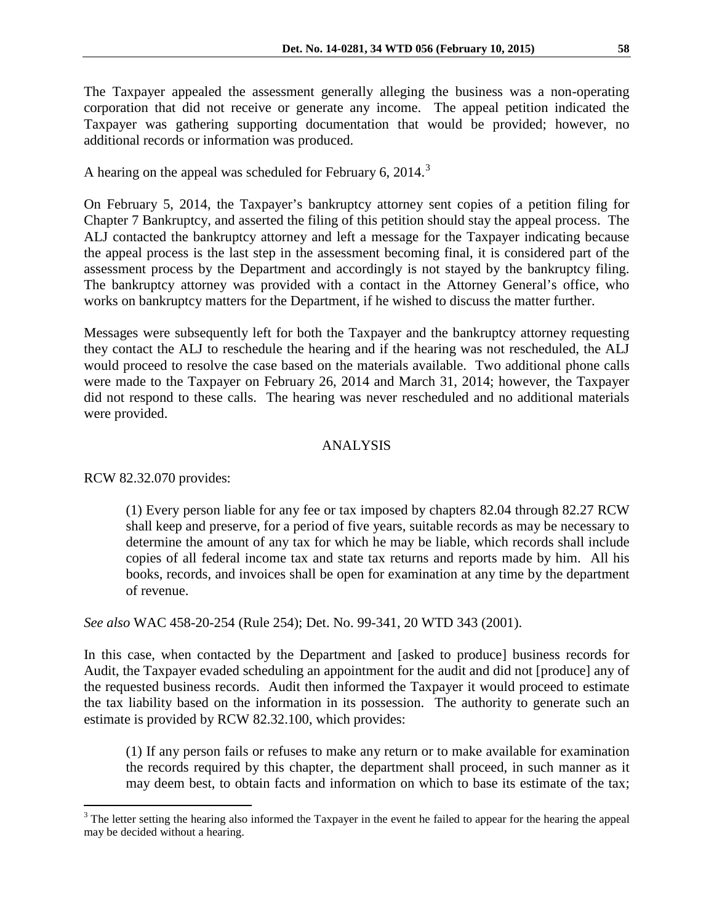The Taxpayer appealed the assessment generally alleging the business was a non-operating corporation that did not receive or generate any income. The appeal petition indicated the Taxpayer was gathering supporting documentation that would be provided; however, no additional records or information was produced.

A hearing on the appeal was scheduled for February 6, 2014.<sup>[3](#page-2-0)</sup>

On February 5, 2014, the Taxpayer's bankruptcy attorney sent copies of a petition filing for Chapter 7 Bankruptcy, and asserted the filing of this petition should stay the appeal process. The ALJ contacted the bankruptcy attorney and left a message for the Taxpayer indicating because the appeal process is the last step in the assessment becoming final, it is considered part of the assessment process by the Department and accordingly is not stayed by the bankruptcy filing. The bankruptcy attorney was provided with a contact in the Attorney General's office, who works on bankruptcy matters for the Department, if he wished to discuss the matter further.

Messages were subsequently left for both the Taxpayer and the bankruptcy attorney requesting they contact the ALJ to reschedule the hearing and if the hearing was not rescheduled, the ALJ would proceed to resolve the case based on the materials available. Two additional phone calls were made to the Taxpayer on February 26, 2014 and March 31, 2014; however, the Taxpayer did not respond to these calls. The hearing was never rescheduled and no additional materials were provided.

### ANALYSIS

RCW 82.32.070 provides:

 $\overline{a}$ 

(1) Every person liable for any fee or tax imposed by chapters 82.04 through 82.27 RCW shall keep and preserve, for a period of five years, suitable records as may be necessary to determine the amount of any tax for which he may be liable, which records shall include copies of all federal income tax and state tax returns and reports made by him. All his books, records, and invoices shall be open for examination at any time by the department of revenue.

*See also* WAC 458-20-254 (Rule 254); Det. No. 99-341, 20 WTD 343 (2001).

In this case, when contacted by the Department and [asked to produce] business records for Audit, the Taxpayer evaded scheduling an appointment for the audit and did not [produce] any of the requested business records. Audit then informed the Taxpayer it would proceed to estimate the tax liability based on the information in its possession. The authority to generate such an estimate is provided by RCW 82.32.100, which provides:

(1) If any person fails or refuses to make any return or to make available for examination the records required by this chapter, the department shall proceed, in such manner as it may deem best, to obtain facts and information on which to base its estimate of the tax;

<span id="page-2-0"></span> $3$  The letter setting the hearing also informed the Taxpayer in the event he failed to appear for the hearing the appeal may be decided without a hearing.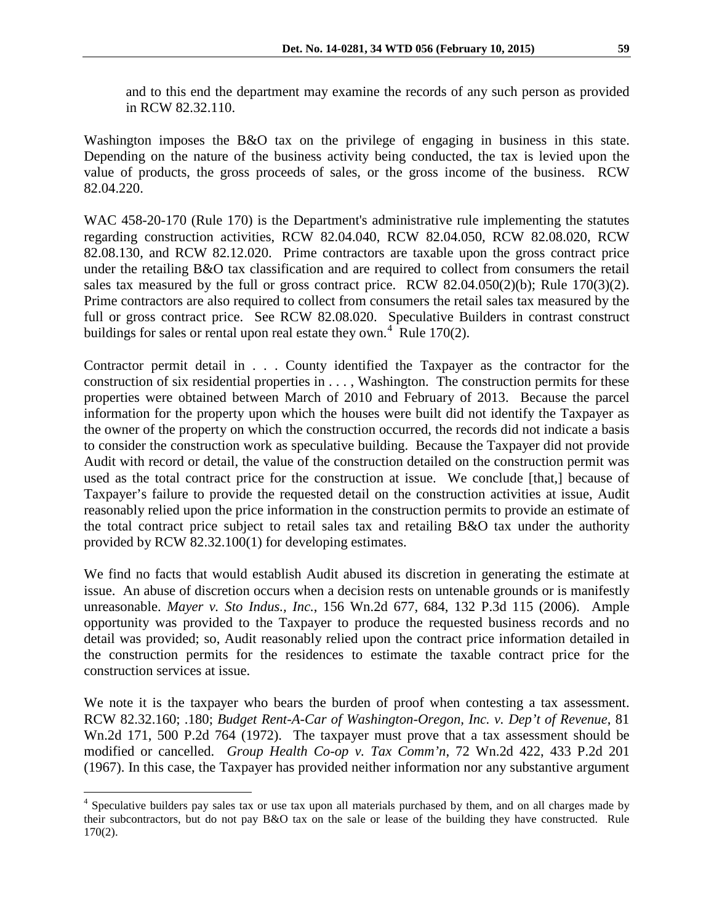and to this end the department may examine the records of any such person as provided in RCW 82.32.110.

Washington imposes the B&O tax on the privilege of engaging in business in this state. Depending on the nature of the business activity being conducted, the tax is levied upon the value of products, the gross proceeds of sales, or the gross income of the business. RCW 82.04.220.

WAC 458-20-170 (Rule 170) is the Department's administrative rule implementing the statutes regarding construction activities, RCW 82.04.040, RCW 82.04.050, RCW 82.08.020, RCW 82.08.130, and RCW 82.12.020. Prime contractors are taxable upon the gross contract price under the retailing B&O tax classification and are required to collect from consumers the retail sales tax measured by the full or gross contract price. RCW  $82.04.050(2)(b)$ ; Rule 170(3)(2). Prime contractors are also required to collect from consumers the retail sales tax measured by the full or gross contract price. See RCW 82.08.020. Speculative Builders in contrast construct buildings for sales or rental upon real estate they own.<sup>[4](#page-3-0)</sup> Rule 170(2).

Contractor permit detail in . . . County identified the Taxpayer as the contractor for the construction of six residential properties in . . . , Washington. The construction permits for these properties were obtained between March of 2010 and February of 2013. Because the parcel information for the property upon which the houses were built did not identify the Taxpayer as the owner of the property on which the construction occurred, the records did not indicate a basis to consider the construction work as speculative building. Because the Taxpayer did not provide Audit with record or detail, the value of the construction detailed on the construction permit was used as the total contract price for the construction at issue. We conclude [that,] because of Taxpayer's failure to provide the requested detail on the construction activities at issue, Audit reasonably relied upon the price information in the construction permits to provide an estimate of the total contract price subject to retail sales tax and retailing B&O tax under the authority provided by RCW 82.32.100(1) for developing estimates.

We find no facts that would establish Audit abused its discretion in generating the estimate at issue. An abuse of discretion occurs when a decision rests on untenable grounds or is manifestly unreasonable. *Mayer v. Sto Indus., Inc.*, 156 Wn.2d 677, 684, 132 P.3d 115 (2006). Ample opportunity was provided to the Taxpayer to produce the requested business records and no detail was provided; so, Audit reasonably relied upon the contract price information detailed in the construction permits for the residences to estimate the taxable contract price for the construction services at issue.

We note it is the taxpayer who bears the burden of proof when contesting a tax assessment. RCW 82.32.160; .180; *Budget Rent-A-Car of Washington-Oregon, Inc. v. Dep't of Revenue*, 81 Wn.2d 171, 500 P.2d 764 (1972). The taxpayer must prove that a tax assessment should be modified or cancelled. *Group Health Co-op v. Tax Comm'n*, 72 Wn.2d 422, 433 P.2d 201 (1967). In this case, the Taxpayer has provided neither information nor any substantive argument

 $\overline{a}$ 

<span id="page-3-0"></span><sup>&</sup>lt;sup>4</sup> Speculative builders pay sales tax or use tax upon all materials purchased by them, and on all charges made by their subcontractors, but do not pay B&O tax on the sale or lease of the building they have constructed. Rule 170(2).